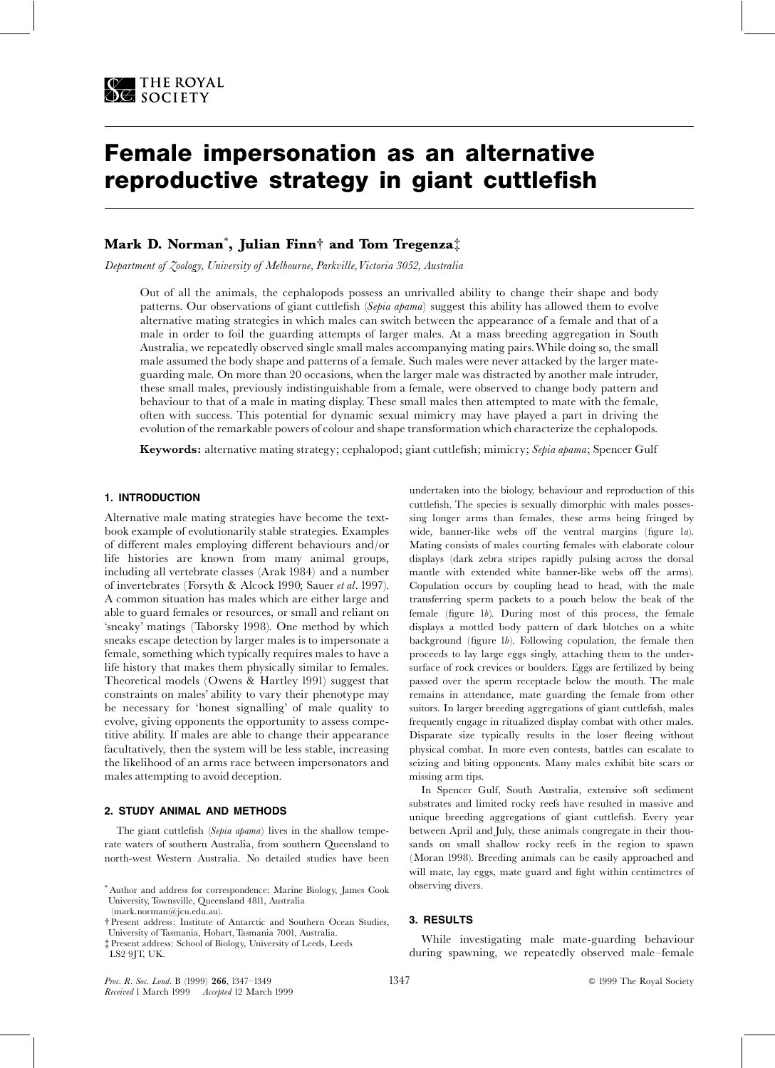

# Female impersonation as an alternative reproductive strategy in giant cuttlefish

# Mark D. Norman $^*$ , Julian Finn $\dagger$  and Tom Tregenza $\dagger$

Department of Zoology, University of Melbourne, Parkville,Victoria 3052, Australia

Out of all the animals, the cephalopods possess an unrivalled ability to change their shape and body patterns. Our observations of giant cuttlefish (Sepia apama) suggest this ability has allowed them to evolve alternative mating strategies in which males can switch between the appearance of a female and that of a male in order to foil the guarding attempts of larger males. At a mass breeding aggregation in South Australia, we repeatedly observed single small males accompanying mating pairs.While doing so, the small male assumed the body shape and patterns of a female. Such males were never attacked by the larger mateguarding male. On more than 20 occasions, when the larger male was distracted by another male intruder, these small males, previously indistinguishable from a female, were observed to change body pattern and behaviour to that of a male in mating display. These small males then attempted to mate with the female, often with success. This potential for dynamic sexual mimicry may have played a part in driving the evolution of the remarkable powers of colour and shape transformation which characterize the cephalopods.

Keywords: alternative mating strategy; cephalopod; giant cuttlefish; mimicry; Sepia apama; Spencer Gulf

#### 1. INTRODUCTION

Alternative male mating strategies have become the textbook example of evolutionarily stable strategies. Examples of different males employing different behaviours and/or life histories are known from many animal groups, including all vertebrate classes (Arak 1984) and a number of invertebrates (Forsyth & Alcock 1990; Sauer et al. 1997). A common situation has males which are either large and able to guard females or resources, or small and reliant on `sneaky' matings (Taborsky 1998). One method by which sneaks escape detection by larger males is to impersonate a female, something which typically requires males to have a life history that makes them physically similar to females. Theoretical models (Owens & Hartley 1991) suggest that constraints on males' ability to vary their phenotype may be necessary for `honest signalling' of male quality to evolve, giving opponents the opportunity to assess competitive ability. If males are able to change their appearance facultatively, then the system will be less stable, increasing the likelihood of an arms race between impersonators and males attempting to avoid deception.

#### 2. STUDY ANIMAL AND METHODS

The giant cuttlefish (Sepia apama) lives in the shallow temperate waters of southern Australia, from southern Queensland to north-west Western Australia. No detailed studies have been undertaken into the biology, behaviour and reproduction of this cuttlefish. The species is sexually dimorphic with males possessing longer arms than females, these arms being fringed by wide, banner-like webs off the ventral margins (figure  $1a$ ). Mating consists of males courting females with elaborate colour displays (dark zebra stripes rapidly pulsing across the dorsal mantle with extended white banner-like webs off the arms). Copulation occurs by coupling head to head, with the male transferring sperm packets to a pouch below the beak of the female (figure  $1b$ ). During most of this process, the female displays a mottled body pattern of dark blotches on a white background (figure  $1b$ ). Following copulation, the female then proceeds to lay large eggs singly, attaching them to the undersurface of rock crevices or boulders. Eggs are fertilized by being passed over the sperm receptacle below the mouth. The male remains in attendance, mate guarding the female from other suitors. In larger breeding aggregations of giant cuttlefish, males frequently engage in ritualized display combat with other males. Disparate size typically results in the loser fleeing without physical combat. In more even contests, battles can escalate to seizing and biting opponents. Many males exhibit bite scars or missing arm tips.

In Spencer Gulf, South Australia, extensive soft sediment substrates and limited rocky reefs have resulted in massive and unique breeding aggregations of giant cuttlefish. Every year between April and July, these animals congregate in their thousands on small shallow rocky reefs in the region to spawn (Moran 1998). Breeding animals can be easily approached and will mate, lay eggs, mate guard and fight within centimetres of observing divers.

#### 3. RESULTS

While investigating male mate-guarding behaviour during spawning, we repeatedly observed male-female

<sup>\*</sup> Author and address for correspondence: Marine Biology, James Cook University, Townsville, Queensland 4811, Australia (mark.norman@jcu.edu.au).

<sup>{</sup> Present address: Institute of Antarctic and Southern Ocean Studies, University of Tasmania, Hobart, Tasmania 7001, Australia.

<sup>{</sup> Present address: School of Biology, University of Leeds, Leeds LS2 9JT, UK.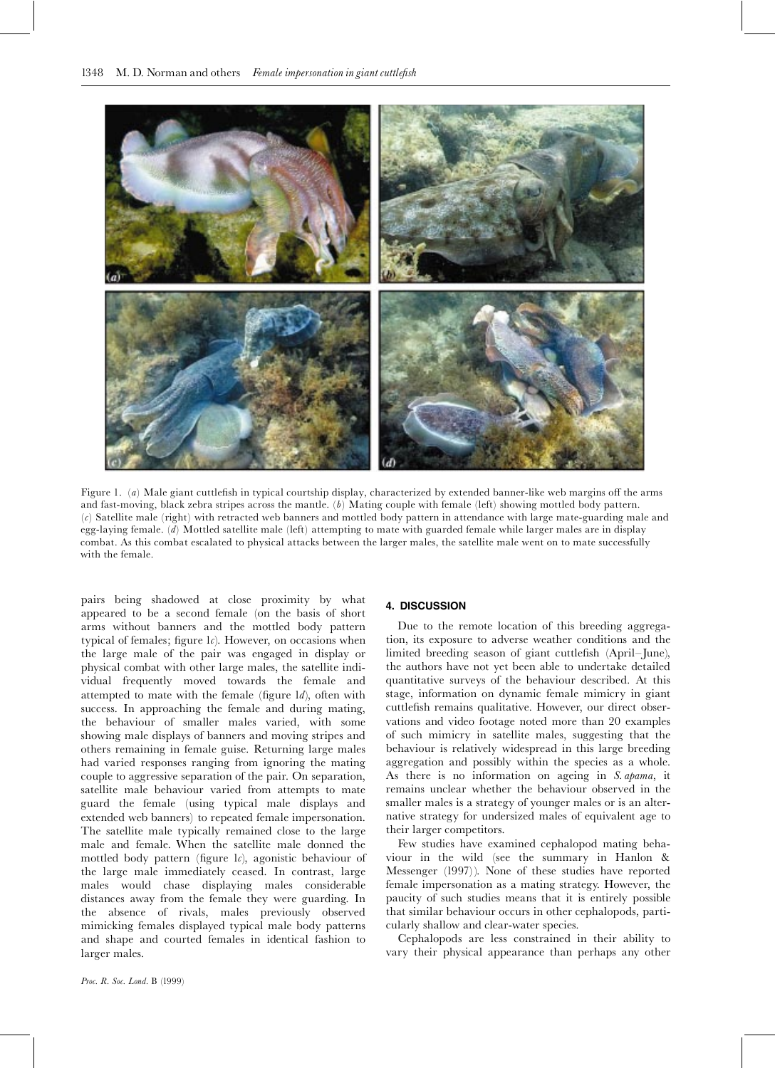

Figure 1. (a) Male giant cuttlefish in typical courtship display, characterized by extended banner-like web margins off the arms and fast-moving, black zebra stripes across the mantle.  $(b)$  Mating couple with female (left) showing mottled body pattern. (c) Satellite male (right) with retracted web banners and mottled body pattern in attendance with large mate-guarding male and egg-laying female. (d) Mottled satellite male (left) attempting to mate with guarded female while larger males are in display combat. As this combat escalated to physical attacks between the larger males, the satellite male went on to mate successfully with the female.

pairs being shadowed at close proximity by what appeared to be a second female (on the basis of short arms without banners and the mottled body pattern typical of females; figure  $1c$ ). However, on occasions when the large male of the pair was engaged in display or physical combat with other large males, the satellite individual frequently moved towards the female and attempted to mate with the female (figure  $ld$ ), often with success. In approaching the female and during mating, the behaviour of smaller males varied, with some showing male displays of banners and moving stripes and others remaining in female guise. Returning large males had varied responses ranging from ignoring the mating couple to aggressive separation of the pair. On separation, satellite male behaviour varied from attempts to mate guard the female (using typical male displays and extended web banners) to repeated female impersonation. The satellite male typically remained close to the large male and female. When the satellite male donned the mottled body pattern (figure  $\iota$ ), agonistic behaviour of the large male immediately ceased. In contrast, large males would chase displaying males considerable distances away from the female they were guarding. In the absence of rivals, males previously observed mimicking females displayed typical male body patterns and shape and courted females in identical fashion to larger males.

### 4. DISCUSSION

Due to the remote location of this breeding aggregation, its exposure to adverse weather conditions and the limited breeding season of giant cuttlefish (April-June), the authors have not yet been able to undertake detailed quantitative surveys of the behaviour described. At this stage, information on dynamic female mimicry in giant cuttlefish remains qualitative. However, our direct observations and video footage noted more than 20 examples of such mimicry in satellite males, suggesting that the behaviour is relatively widespread in this large breeding aggregation and possibly within the species as a whole. As there is no information on ageing in S. apama, it remains unclear whether the behaviour observed in the smaller males is a strategy of younger males or is an alternative strategy for undersized males of equivalent age to their larger competitors.

Few studies have examined cephalopod mating behaviour in the wild (see the summary in Hanlon & Messenger (1997)). None of these studies have reported female impersonation as a mating strategy. However, the paucity of such studies means that it is entirely possible that similar behaviour occurs in other cephalopods, particularly shallow and clear-water species.

Cephalopods are less constrained in their ability to vary their physical appearance than perhaps any other